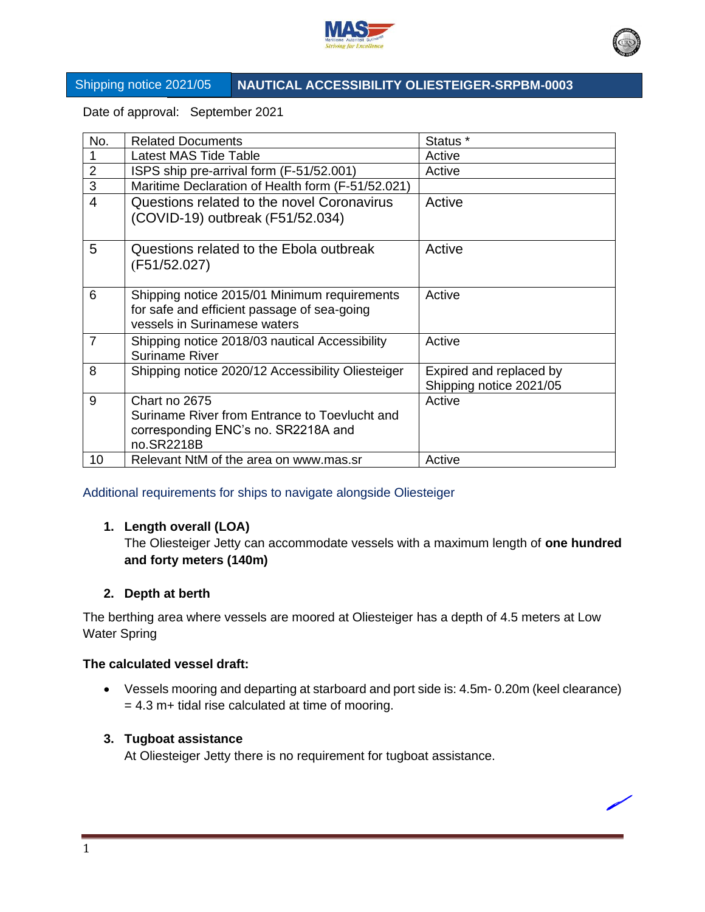



# Shipping notice 2021/05 **NAUTICAL ACCESSIBILITY OLIESTEIGER-SRPBM-0003**

Date of approval: September 2021

| No.                      | <b>Related Documents</b>                                                | Status *                |
|--------------------------|-------------------------------------------------------------------------|-------------------------|
|                          | Latest MAS Tide Table                                                   | Active                  |
| $\overline{2}$           | ISPS ship pre-arrival form (F-51/52.001)                                | Active                  |
| 3                        | Maritime Declaration of Health form (F-51/52.021)                       |                         |
| $\overline{\mathcal{L}}$ | Questions related to the novel Coronavirus                              | Active                  |
|                          | (COVID-19) outbreak (F51/52.034)                                        |                         |
| 5                        | Questions related to the Ebola outbreak                                 | Active                  |
|                          | (F51/52.027)                                                            |                         |
| 6                        | Shipping notice 2015/01 Minimum requirements                            | Active                  |
|                          | for safe and efficient passage of sea-going                             |                         |
|                          | vessels in Surinamese waters                                            |                         |
| $\overline{7}$           | Shipping notice 2018/03 nautical Accessibility<br><b>Suriname River</b> | Active                  |
| 8                        | Shipping notice 2020/12 Accessibility Oliesteiger                       | Expired and replaced by |
|                          |                                                                         | Shipping notice 2021/05 |
| 9                        | Chart no 2675                                                           | Active                  |
|                          | Suriname River from Entrance to Toevlucht and                           |                         |
|                          | corresponding ENC's no. SR2218A and                                     |                         |
|                          | no.SR2218B                                                              |                         |
| 10                       | Relevant NtM of the area on www.mas.sr                                  | Active                  |

Additional requirements for ships to navigate alongside Oliesteiger

# **1. Length overall (LOA)**

The Oliesteiger Jetty can accommodate vessels with a maximum length of **one hundred and forty meters (140m)**

## **2. Depth at berth**

The berthing area where vessels are moored at Oliesteiger has a depth of 4.5 meters at Low Water Spring

## **The calculated vessel draft:**

• Vessels mooring and departing at starboard and port side is: 4.5m- 0.20m (keel clearance)  $= 4.3$  m+ tidal rise calculated at time of mooring.

## **3. Tugboat assistance**

At Oliesteiger Jetty there is no requirement for tugboat assistance.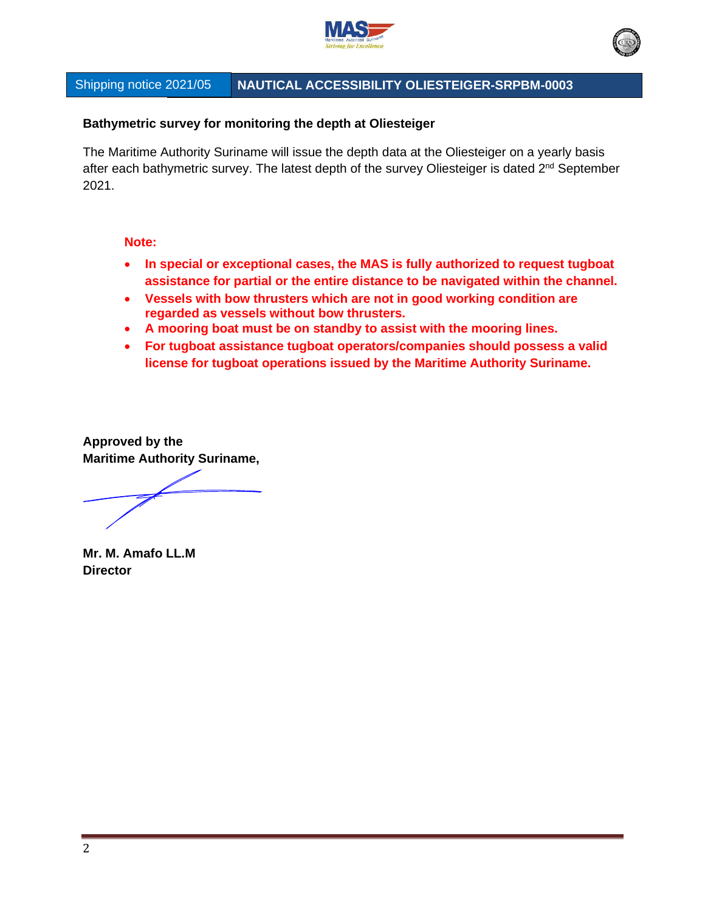



# Shipping notice 2021/05 **NAUTICAL ACCESSIBILITY OLIESTEIGER-SRPBM-0003**

## **Bathymetric survey for monitoring the depth at Oliesteiger**

The Maritime Authority Suriname will issue the depth data at the Oliesteiger on a yearly basis after each bathymetric survey. The latest depth of the survey Oliesteiger is dated 2<sup>nd</sup> September 2021.

#### **Note:**

- **In special or exceptional cases, the MAS is fully authorized to request tugboat assistance for partial or the entire distance to be navigated within the channel.**
- **Vessels with bow thrusters which are not in good working condition are regarded as vessels without bow thrusters.**
- **A mooring boat must be on standby to assist with the mooring lines.**
- **For tugboat assistance tugboat operators/companies should possess a valid license for tugboat operations issued by the Maritime Authority Suriname.**

**Approved by the Maritime Authority Suriname,**

**Mr. M. Amafo LL.M Director**